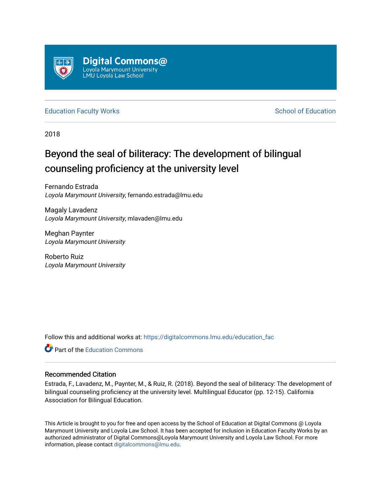

[Education Faculty Works](https://digitalcommons.lmu.edu/education_fac) **Education** School of Education

2018

## Beyond the seal of biliteracy: The development of bilingual counseling proficiency at the university level

Fernando Estrada Loyola Marymount University, fernando.estrada@lmu.edu

Magaly Lavadenz Loyola Marymount University, mlavaden@lmu.edu

Meghan Paynter Loyola Marymount University

Roberto Ruiz Loyola Marymount University

Follow this and additional works at: [https://digitalcommons.lmu.edu/education\\_fac](https://digitalcommons.lmu.edu/education_fac?utm_source=digitalcommons.lmu.edu%2Feducation_fac%2F14&utm_medium=PDF&utm_campaign=PDFCoverPages) 

**C** Part of the [Education Commons](http://network.bepress.com/hgg/discipline/784?utm_source=digitalcommons.lmu.edu%2Feducation_fac%2F14&utm_medium=PDF&utm_campaign=PDFCoverPages)

### Recommended Citation

Estrada, F., Lavadenz, M., Paynter, M., & Ruiz, R. (2018). Beyond the seal of biliteracy: The development of bilingual counseling proficiency at the university level. Multilingual Educator (pp. 12-15). California Association for Bilingual Education.

This Article is brought to you for free and open access by the School of Education at Digital Commons @ Loyola Marymount University and Loyola Law School. It has been accepted for inclusion in Education Faculty Works by an authorized administrator of Digital Commons@Loyola Marymount University and Loyola Law School. For more information, please contact [digitalcommons@lmu.edu.](mailto:digitalcommons@lmu.edu)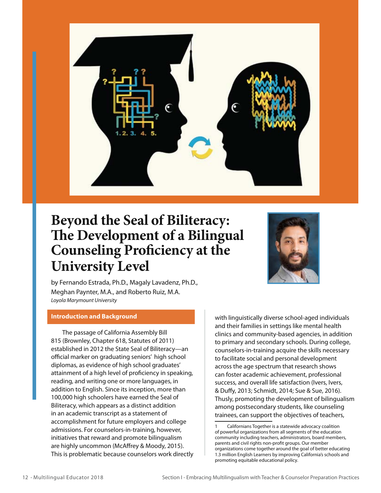

# **Beyond the Seal of Biliteracy: The Development of a Bilingual Counseling Proficiency at the University Level**



by Fernando Estrada, Ph.D., Magaly Lavadenz, Ph.D., Meghan Paynter, M.A., and Roberto Ruiz, M.A. *Loyola Marymount University*

#### **Introduction and Background**

The passage of California Assembly Bill 815 (Brownley, Chapter 618, Statutes of 2011) established in 2012 the State Seal of Biliteracy—an official marker on graduating seniors' high school diplomas, as evidence of high school graduates' attainment of a high level of proficiency in speaking, reading, and writing one or more languages, in addition to English. Since its inception, more than 100,000 high schoolers have earned the Seal of Biliteracy, which appears as a distinct addition in an academic transcript as a statement of accomplishment for future employers and college admissions. For counselors-in-training, however, initiatives that reward and promote bilingualism are highly uncommon (McAffrey & Moody, 2015). This is problematic because counselors work directly

with linguistically diverse school-aged individuals and their families in settings like mental health clinics and community-based agencies, in addition to primary and secondary schools. During college, counselors-in-training acquire the skills necessary to facilitate social and personal development across the age spectrum that research shows can foster academic achievement, professional success, and overall life satisfaction (Ivers, Ivers, & Duffy, 2013; Schmidt, 2014; Sue & Sue, 2016). Thusly, promoting the development of bilingualism among postsecondary students, like counseling trainees, can support the objectives of teachers,

Californians Together is a statewide advocacy coalition of powerful organizations from all segments of the education community including teachers, administrators, board members, parents and civil rights non-profit groups. Our member organizations come together around the goal of better educating 1.3 million English Learners by improving California's schools and promoting equitable educational policy.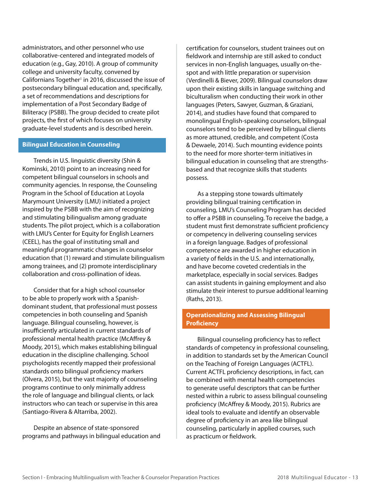administrators, and other personnel who use collaborative-centered and integrated models of education (e.g., Gay, 2010). A group of community college and university faculty, convened by Californians Together<sup>1</sup> in 2016, discussed the issue of postsecondary bilingual education and, specifically, a set of recommendations and descriptions for implementation of a Post Secondary Badge of Biliteracy (PSBB). The group decided to create pilot projects, the first of which focuses on university graduate-level students and is described herein.

#### **Bilingual Education in Counseling**

Trends in U.S. linguistic diversity (Shin & Kominski, 2010) point to an increasing need for competent bilingual counselors in schools and community agencies. In response, the Counseling Program in the School of Education at Loyola Marymount University (LMU) initiated a project inspired by the PSBB with the aim of recognizing and stimulating bilingualism among graduate students. The pilot project, which is a collaboration with LMU's Center for Equity for English Learners (CEEL), has the goal of instituting small and meaningful programmatic changes in counselor education that (1) reward and stimulate bilingualism among trainees, and (2) promote interdisciplinary collaboration and cross-pollination of ideas.

Consider that for a high school counselor to be able to properly work with a Spanishdominant student, that professional must possess competencies in both counseling and Spanish language. Bilingual counseling, however, is insufficiently articulated in current standards of professional mental health practice (McAffrey & Moody, 2015), which makes establishing bilingual education in the discipline challenging. School psychologists recently mapped their professional standards onto bilingual proficiency markers (Olvera, 2015), but the vast majority of counseling programs continue to only minimally address the role of language and bilingual clients, or lack instructors who can teach or supervise in this area (Santiago-Rivera & Altarriba, 2002).

Despite an absence of state-sponsored programs and pathways in bilingual education and

certification for counselors, student trainees out on fieldwork and internship are still asked to conduct services in non-English languages, usually on-thespot and with little preparation or supervision (Verdinelli & Biever, 2009). Bilingual counselors draw upon their existing skills in language switching and biculturalism when conducting their work in other languages (Peters, Sawyer, Guzman, & Graziani, 2014), and studies have found that compared to monolingual English-speaking counselors, bilingual counselors tend to be perceived by bilingual clients as more attuned, credible, and competent (Costa & Dewaele, 2014). Such mounting evidence points to the need for more shorter-term initiatives in bilingual education in counseling that are strengthsbased and that recognize skills that students possess.

As a stepping stone towards ultimately providing bilingual training certification in counseling, LMU's Counseling Program has decided to offer a PSBB in counseling. To receive the badge, a student must first demonstrate sufficient proficiency or competency in delivering counseling services in a foreign language. Badges of professional competence are awarded in higher education in a variety of fields in the U.S. and internationally, and have become coveted credentials in the marketplace, especially in social services. Badges can assist students in gaining employment and also stimulate their interest to pursue additional learning (Raths, 2013).

#### **Operationalizing and Assessing Bilingual Proficiency**

Bilingual counseling proficiency has to reflect standards of competency in professional counseling, in addition to standards set by the American Council on the Teaching of Foreign Languages (ACTFL). Current ACTFL proficiency descriptions, in fact, can be combined with mental health competencies to generate useful descriptors that can be further nested within a rubric to assess bilingual counseling proficiency (McAffrey & Moody, 2015). Rubrics are ideal tools to evaluate and identify an observable degree of proficiency in an area like bilingual counseling, particularly in applied courses, such as practicum or fieldwork.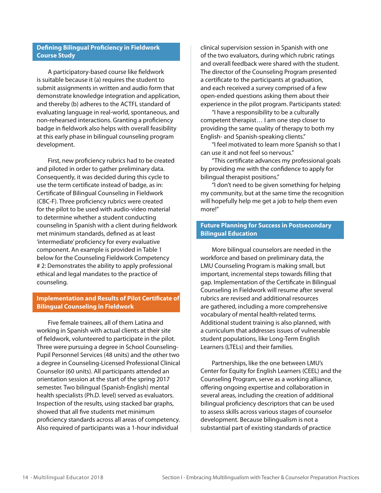#### **Defining Bilingual Proficiency in Fieldwork Course Study**

A participatory-based course like fieldwork is suitable because it (a) requires the student to submit assignments in written and audio form that demonstrate knowledge integration and application, and thereby (b) adheres to the ACTFL standard of evaluating language in real-world, spontaneous, and non-rehearsed interactions. Granting a proficiency badge in fieldwork also helps with overall feasibility at this early phase in bilingual counseling program development.

First, new proficiency rubrics had to be created and piloted in order to gather preliminary data. Consequently, it was decided during this cycle to use the term certificate instead of badge, as in: Certificate of Bilingual Counseling in Fieldwork (CBC-F). Three proficiency rubrics were created for the pilot to be used with audio-video material to determine whether a student conducting counseling in Spanish with a client during fieldwork met minimum standards, defined as at least 'intermediate' proficiency for every evaluative component. An example is provided in Table 1 below for the Counseling Fieldwork Competency # 2: Demonstrates the ability to apply professional ethical and legal mandates to the practice of counseling.

#### **Implementation and Results of Pilot Certificate of Bilingual Counseling in Fieldwork**

Five female trainees, all of them Latina and working in Spanish with actual clients at their site of fieldwork, volunteered to participate in the pilot. Three were pursuing a degree in School Counseling-Pupil Personnel Services (48 units) and the other two a degree in Counseling-Licensed Professional Clinical Counselor (60 units). All participants attended an orientation session at the start of the spring 2017 semester. Two bilingual (Spanish-English) mental health specialists (Ph.D. level) served as evaluators. Inspection of the results, using stacked bar graphs, showed that all five students met minimum proficiency standards across all areas of competency. Also required of participants was a 1-hour individual

clinical supervision session in Spanish with one of the two evaluators, during which rubric ratings and overall feedback were shared with the student. The director of the Counseling Program presented a certificate to the participants at graduation, and each received a survey comprised of a few open-ended questions asking them about their experience in the pilot program. Participants stated:

"I have a responsibility to be a culturally competent therapist… I am one step closer to providing the same quality of therapy to both my English- and Spanish-speaking clients."

"I feel motivated to learn more Spanish so that I can use it and not feel so nervous."

"This certificate advances my professional goals by providing me with the confidence to apply for bilingual therapist positions."

"I don't need to be given something for helping my community, but at the same time the recognition will hopefully help me get a job to help them even more!"

#### **Future Planning for Success in Postsecondary Bilingual Education**

More bilingual counselors are needed in the workforce and based on preliminary data, the LMU Counseling Program is making small, but important, incremental steps towards filling that gap. Implementation of the Certificate in Bilingual Counseling in Fieldwork will resume after several rubrics are revised and additional resources are gathered, including a more comprehensive vocabulary of mental health-related terms. Additional student training is also planned, with a curriculum that addresses issues of vulnerable student populations, like Long-Term English Learners (LTELs) and their families.

Partnerships, like the one between LMU's Center for Equity for English Learners (CEEL) and the Counseling Program, serve as a working alliance, offering ongoing expertise and collaboration in several areas, including the creation of additional bilingual proficiency descriptors that can be used to assess skills across various stages of counselor development. Because bilingualism is not a substantial part of existing standards of practice